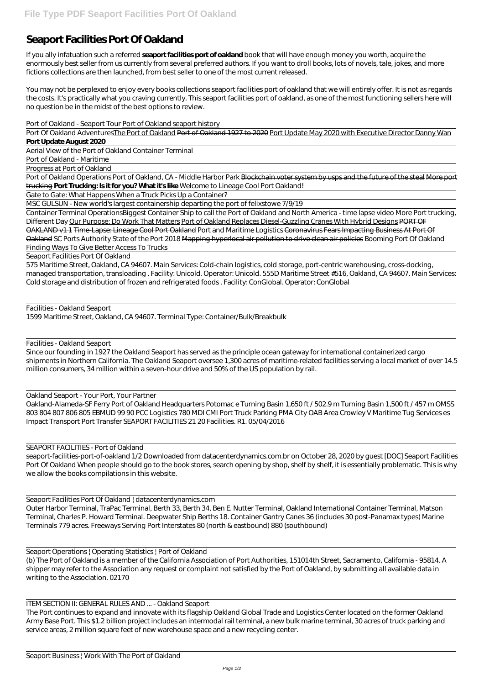## **Seaport Facilities Port Of Oakland**

If you ally infatuation such a referred **seaport facilities port of oakland** book that will have enough money you worth, acquire the enormously best seller from us currently from several preferred authors. If you want to droll books, lots of novels, tale, jokes, and more fictions collections are then launched, from best seller to one of the most current released.

Port Of Oakland Adventures The Port of Oakland Port of Oakland 1927 to 2020 Port Update May 2020 with Executive Director Danny Wan **Port Update August 2020**

You may not be perplexed to enjoy every books collections seaport facilities port of oakland that we will entirely offer. It is not as regards the costs. It's practically what you craving currently. This seaport facilities port of oakland, as one of the most functioning sellers here will no question be in the midst of the best options to review.

Port of Oakland Operations Port of Oakland, CA - Middle Harbor Park Blockchain voter system by usps and the future of the steal More port trucking **Port Trucking: Is it for you? What it's like** Welcome to Lineage Cool Port Oakland!

## *Port of Oakland - Seaport Tour* Port of Oakland seaport history

Aerial View of the Port of Oakland Container Terminal

Port of Oakland - Maritime

Progress at Port of Oakland

Gate to Gate: What Happens When a Truck Picks Up a Container?

MSC GULSUN - New world's largest containership departing the port of felixstowe 7/9/19

Container Terminal Operations*Biggest Container Ship to call the Port of Oakland and North America - time lapse video More Port trucking, Different Day* Our Purpose: Do Work That Matters Port of Oakland Replaces Diesel-Guzzling Cranes With Hybrid Designs PORT OF OAKLAND v1 1 Time-Lapse: Lineage Cool Port Oakland Port and Maritime Logistics Coronavirus Fears Impacting Business At Port Of Oakland SC Ports Authority State of the Port 2018 Mapping hyperlocal air pollution to drive clean air policies *Booming Port Of Oakland Finding Ways To Give Better Access To Trucks*

Seaport Facilities Port Of Oakland

575 Maritime Street, Oakland, CA 94607. Main Services: Cold-chain logistics, cold storage, port-centric warehousing, cross-docking, managed transportation, transloading . Facility: Unicold. Operator: Unicold. 555D Maritime Street #516, Oakland, CA 94607. Main Services: Cold storage and distribution of frozen and refrigerated foods . Facility: ConGlobal. Operator: ConGlobal

Facilities - Oakland Seaport 1599 Maritime Street, Oakland, CA 94607. Terminal Type: Container/Bulk/Breakbulk

Facilities - Oakland Seaport

Since our founding in 1927 the Oakland Seaport has served as the principle ocean gateway for international containerized cargo shipments in Northern California. The Oakland Seaport oversee 1,300 acres of maritime-related facilities serving a local market of over 14.5 million consumers, 34 million within a seven-hour drive and 50% of the US population by rail.

Oakland Seaport - Your Port, Your Partner

Oakland-Alameda-SF Ferry Port of Oakland Headquarters Potomac e Turning Basin 1,650 ft / 502.9 m Turning Basin 1,500 ft / 457 m OMSS 803 804 807 806 805 EBMUD 99 90 PCC Logistics 780 MDI CMI Port Truck Parking PMA City OAB Area Crowley V Maritime Tug Services es Impact Transport Port Transfer SEAPORT FACILITIES 21 20 Facilities. R1. 05/04/2016

SEAPORT FACILITIES - Port of Oakland

seaport-facilities-port-of-oakland 1/2 Downloaded from datacenterdynamics.com.br on October 28, 2020 by guest [DOC] Seaport Facilities Port Of Oakland When people should go to the book stores, search opening by shop, shelf by shelf, it is essentially problematic. This is why we allow the books compilations in this website.

Seaport Facilities Port Of Oakland | datacenterdynamics.com

Outer Harbor Terminal, TraPac Terminal, Berth 33, Berth 34, Ben E. Nutter Terminal, Oakland International Container Terminal, Matson Terminal, Charles P. Howard Terminal. Deepwater Ship Berths 18. Container Gantry Canes 36 (includes 30 post-Panamax types) Marine Terminals 779 acres. Freeways Serving Port Interstates 80 (north & eastbound) 880 (southbound)

Seaport Operations | Operating Statistics | Port of Oakland (b) The Port of Oakland is a member of the California Association of Port Authorities, 151014th Street, Sacramento, California - 95814. A shipper may refer to the Association any request or complaint not satisfied by the Port of Oakland, by submitting all available data in writing to the Association. 02170

ITEM SECTION II: GENERAL RULES AND ... - Oakland Seaport

The Port continues to expand and innovate with its flagship Oakland Global Trade and Logistics Center located on the former Oakland Army Base Port. This \$1.2 billion project includes an intermodal rail terminal, a new bulk marine terminal, 30 acres of truck parking and service areas, 2 million square feet of new warehouse space and a new recycling center.

Seaport Business | Work With The Port of Oakland